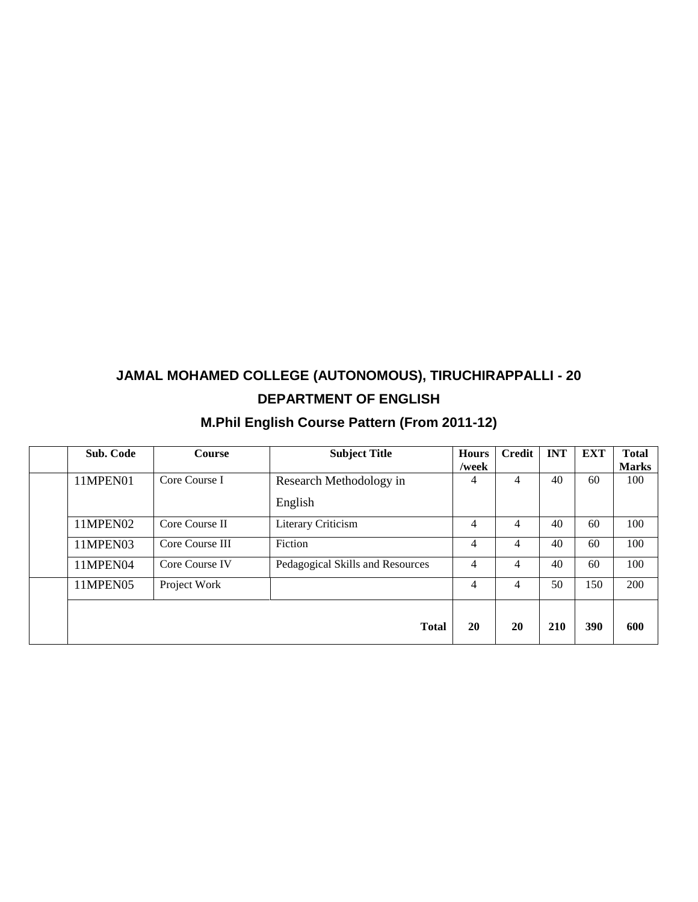# **JAMAL MOHAMED COLLEGE (AUTONOMOUS), TIRUCHIRAPPALLI - 20 DEPARTMENT OF ENGLISH**

# **M.Phil English Course Pattern (From 2011-12)**

|  | Sub. Code | <b>Course</b>   | <b>Subject Title</b>             | <b>Hours</b><br>/week | <b>Credit</b> | <b>INT</b> | <b>EXT</b> | <b>Total</b><br><b>Marks</b> |
|--|-----------|-----------------|----------------------------------|-----------------------|---------------|------------|------------|------------------------------|
|  | 11MPEN01  | Core Course I   | Research Methodology in          | 4                     | 4             | 40         | 60         | 100                          |
|  |           |                 | English                          |                       |               |            |            |                              |
|  | 11MPEN02  | Core Course II  | Literary Criticism               | 4                     | 4             | 40         | 60         | 100                          |
|  | 11MPEN03  | Core Course III | Fiction                          | 4                     | 4             | 40         | 60         | 100                          |
|  | 11MPEN04  | Core Course IV  | Pedagogical Skills and Resources | 4                     | 4             | 40         | 60         | 100                          |
|  | 11MPEN05  | Project Work    |                                  | 4                     | 4             | 50         | 150        | 200                          |
|  |           |                 | <b>Total</b>                     | 20                    | 20            | 210        | 390        | 600                          |
|  |           |                 |                                  |                       |               |            |            |                              |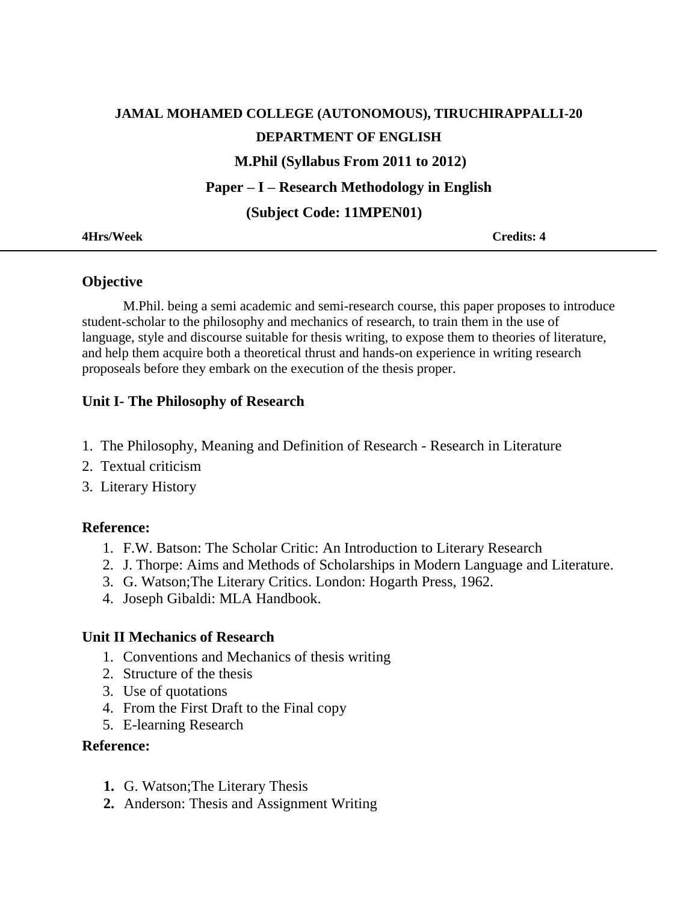# **JAMAL MOHAMED COLLEGE (AUTONOMOUS), TIRUCHIRAPPALLI-20 DEPARTMENT OF ENGLISH M.Phil (Syllabus From 2011 to 2012) Paper – I – Research Methodology in English (Subject Code: 11MPEN01)**

**4Hrs/Week Credits: 4**

## **Objective**

M.Phil. being a semi academic and semi-research course, this paper proposes to introduce student-scholar to the philosophy and mechanics of research, to train them in the use of language, style and discourse suitable for thesis writing, to expose them to theories of literature, and help them acquire both a theoretical thrust and hands-on experience in writing research proposeals before they embark on the execution of the thesis proper.

## **Unit I- The Philosophy of Research**

- 1. The Philosophy, Meaning and Definition of Research Research in Literature
- 2. Textual criticism
- 3. Literary History

### **Reference:**

- 1. F.W. Batson: The Scholar Critic: An Introduction to Literary Research
- 2. J. Thorpe: Aims and Methods of Scholarships in Modern Language and Literature.
- 3. G. Watson;The Literary Critics. London: Hogarth Press, 1962.
- 4. Joseph Gibaldi: MLA Handbook.

### **Unit II Mechanics of Research**

- 1. Conventions and Mechanics of thesis writing
- 2. Structure of the thesis
- 3. Use of quotations
- 4. From the First Draft to the Final copy
- 5. E-learning Research

### **Reference:**

- **1.** G. Watson;The Literary Thesis
- **2.** Anderson: Thesis and Assignment Writing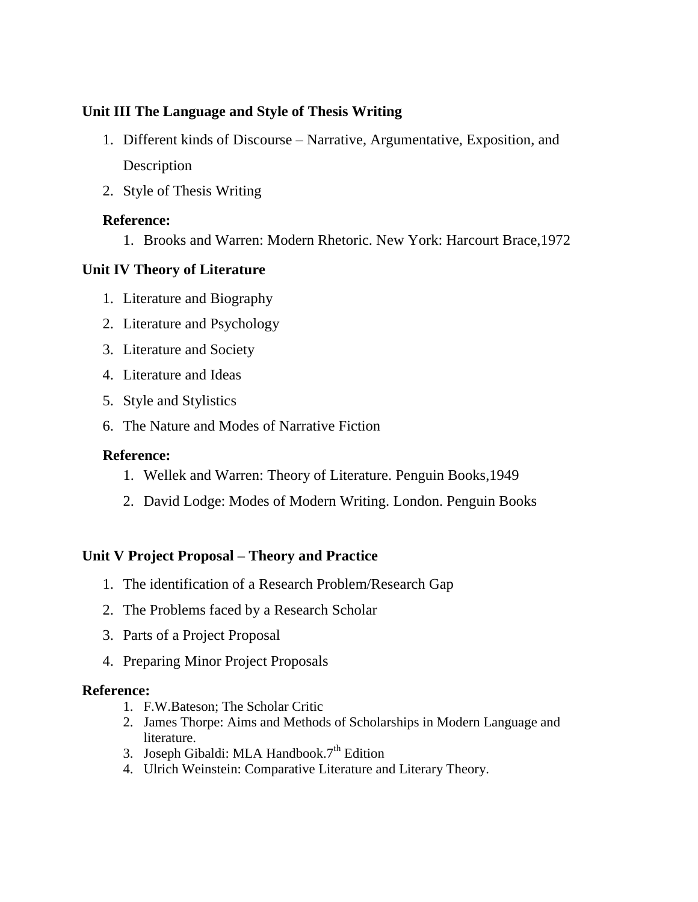# **Unit III The Language and Style of Thesis Writing**

- 1. Different kinds of Discourse Narrative, Argumentative, Exposition, and Description
- 2. Style of Thesis Writing

## **Reference:**

1. Brooks and Warren: Modern Rhetoric. New York: Harcourt Brace,1972

## **Unit IV Theory of Literature**

- 1. Literature and Biography
- 2. Literature and Psychology
- 3. Literature and Society
- 4. Literature and Ideas
- 5. Style and Stylistics
- 6. The Nature and Modes of Narrative Fiction

## **Reference:**

- 1. Wellek and Warren: Theory of Literature. Penguin Books,1949
- 2. David Lodge: Modes of Modern Writing. London. Penguin Books

## **Unit V Project Proposal – Theory and Practice**

- 1. The identification of a Research Problem/Research Gap
- 2. The Problems faced by a Research Scholar
- 3. Parts of a Project Proposal
- 4. Preparing Minor Project Proposals

### **Reference:**

- 1. F.W.Bateson; The Scholar Critic
- 2. James Thorpe: Aims and Methods of Scholarships in Modern Language and literature.
- 3. Joseph Gibaldi: MLA Handbook.7<sup>th</sup> Edition
- 4. Ulrich Weinstein: Comparative Literature and Literary Theory.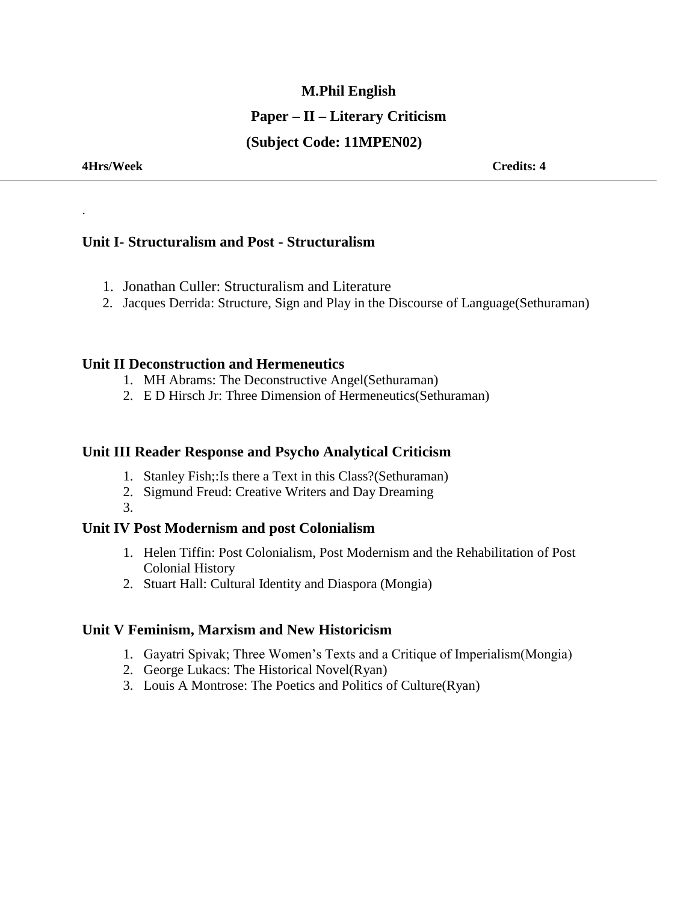# **M.Phil English Paper – II – Literary Criticism (Subject Code: 11MPEN02)**

.

## **Unit I- Structuralism and Post - Structuralism**

- 1. Jonathan Culler: Structuralism and Literature
- 2. Jacques Derrida: Structure, Sign and Play in the Discourse of Language(Sethuraman)

#### **Unit II Deconstruction and Hermeneutics**

- 1. MH Abrams: The Deconstructive Angel(Sethuraman)
- 2. E D Hirsch Jr: Three Dimension of Hermeneutics(Sethuraman)

#### **Unit III Reader Response and Psycho Analytical Criticism**

- 1. Stanley Fish;:Is there a Text in this Class?(Sethuraman)
- 2. Sigmund Freud: Creative Writers and Day Dreaming
- 3.

### **Unit IV Post Modernism and post Colonialism**

- 1. Helen Tiffin: Post Colonialism, Post Modernism and the Rehabilitation of Post Colonial History
- 2. Stuart Hall: Cultural Identity and Diaspora (Mongia)

### **Unit V Feminism, Marxism and New Historicism**

- 1. Gayatri Spivak; Three Women's Texts and a Critique of Imperialism(Mongia)
- 2. George Lukacs: The Historical Novel(Ryan)
- 3. Louis A Montrose: The Poetics and Politics of Culture(Ryan)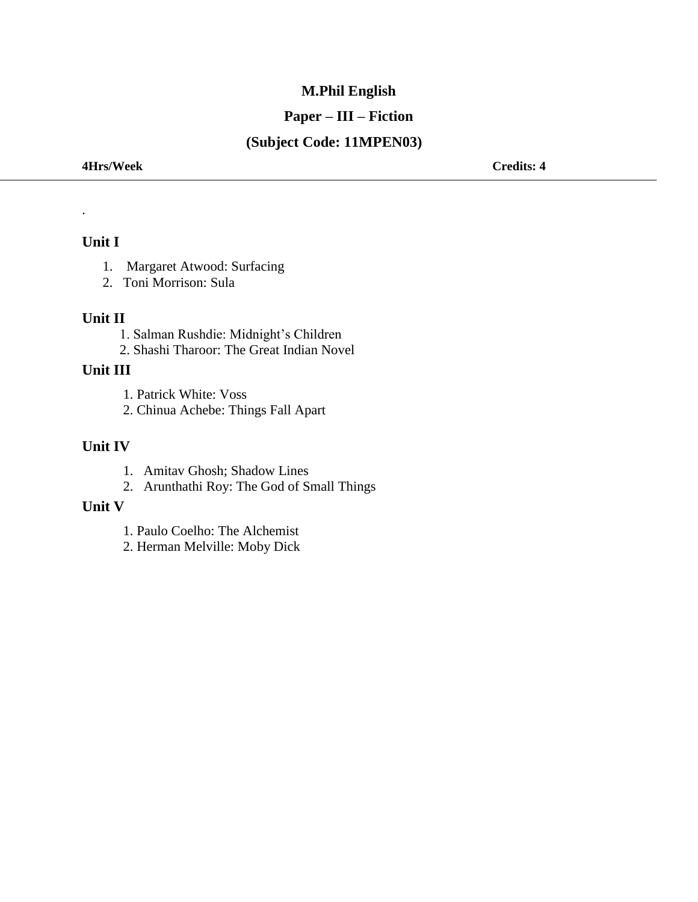# **M.Phil English**

## **Paper – III – Fiction**

# **(Subject Code: 11MPEN03)**

**4Hrs/Week Credits: 4**

#### **Unit I**

.

- 1. Margaret Atwood: Surfacing
- 2. Toni Morrison: Sula

#### **Unit II**

 1. Salman Rushdie: Midnight's Children 2. Shashi Tharoor: The Great Indian Novel

#### **Unit III**

1. Patrick White: Voss

2. Chinua Achebe: Things Fall Apart

## **Unit IV**

- 1. Amitav Ghosh; Shadow Lines
- 2. Arunthathi Roy: The God of Small Things

#### **Unit V**

- 1. Paulo Coelho: The Alchemist
- 2. Herman Melville: Moby Dick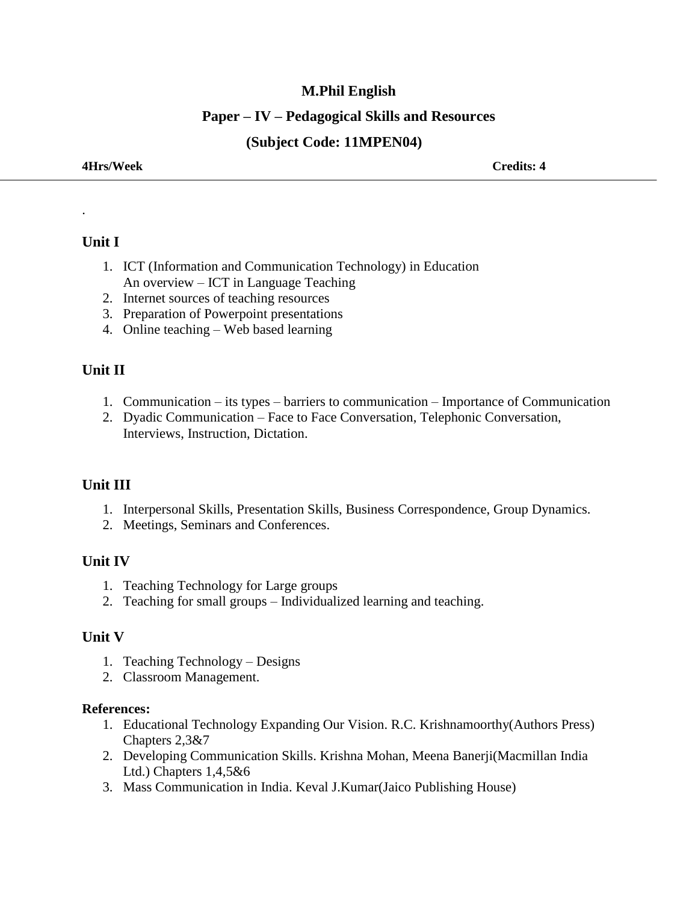## **M.Phil English**

## **Paper – IV – Pedagogical Skills and Resources**

## **(Subject Code: 11MPEN04)**

#### **4Hrs/Week Credits: 4**

### **Unit I**

.

- 1. ICT (Information and Communication Technology) in Education An overview – ICT in Language Teaching
- 2. Internet sources of teaching resources
- 3. Preparation of Powerpoint presentations
- 4. Online teaching Web based learning

## **Unit II**

- 1. Communication its types barriers to communication Importance of Communication
- 2. Dyadic Communication Face to Face Conversation, Telephonic Conversation, Interviews, Instruction, Dictation.

## **Unit III**

- 1. Interpersonal Skills, Presentation Skills, Business Correspondence, Group Dynamics.
- 2. Meetings, Seminars and Conferences.

## **Unit IV**

- 1. Teaching Technology for Large groups
- 2. Teaching for small groups Individualized learning and teaching.

### **Unit V**

- 1. Teaching Technology Designs
- 2. Classroom Management.

#### **References:**

- 1. Educational Technology Expanding Our Vision. R.C. Krishnamoorthy(Authors Press) Chapters 2,3&7
- 2. Developing Communication Skills. Krishna Mohan, Meena Banerji(Macmillan India Ltd.) Chapters 1,4,5&6
- 3. Mass Communication in India. Keval J.Kumar(Jaico Publishing House)